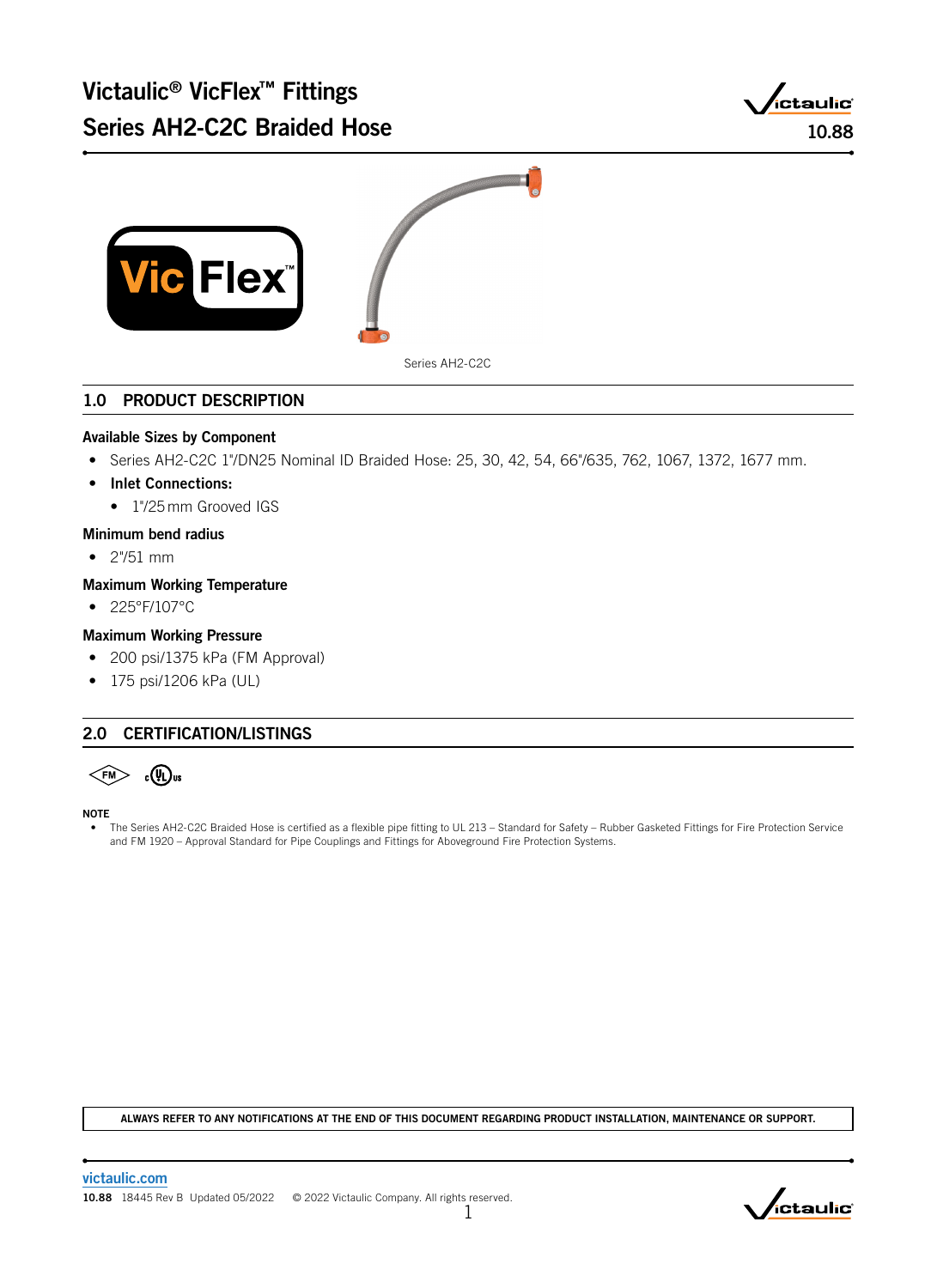



# 1.0 PRODUCT DESCRIPTION

### Available Sizes by Component

- Series AH2-C2C 1"/DN25 Nominal ID Braided Hose: 25, 30, 42, 54, 66"/635, 762, 1067, 1372, 1677 mm.
- Inlet Connections:
	- 1"/25 mm Grooved IGS
- Minimum bend radius
- 2"/51 mm

### Maximum Working Temperature

• 225°F/107°C

### Maximum Working Pressure

- 200 psi/1375 kPa (FM Approval)
- 175 psi/1206 kPa (UL)

# 2.0 CERTIFICATION/LISTINGS

 $\leq$ FM $>$  $_{c}(\overline{\mathsf{V}}_{\mathsf{L}})$ us

NOTE

• The Series AH2-C2C Braided Hose is certified as a flexible pipe fitting to UL 213 – Standard for Safety – Rubber Gasketed Fittings for Fire Protection Service and FM 1920 – Approval Standard for Pipe Couplings and Fittings for Aboveground Fire Protection Systems.

ALWAYS REFER TO ANY NOTIFICATIONS AT THE END OF THIS DOCUMENT REGARDING PRODUCT INSTALLATION, MAINTENANCE OR SUPPORT.

1

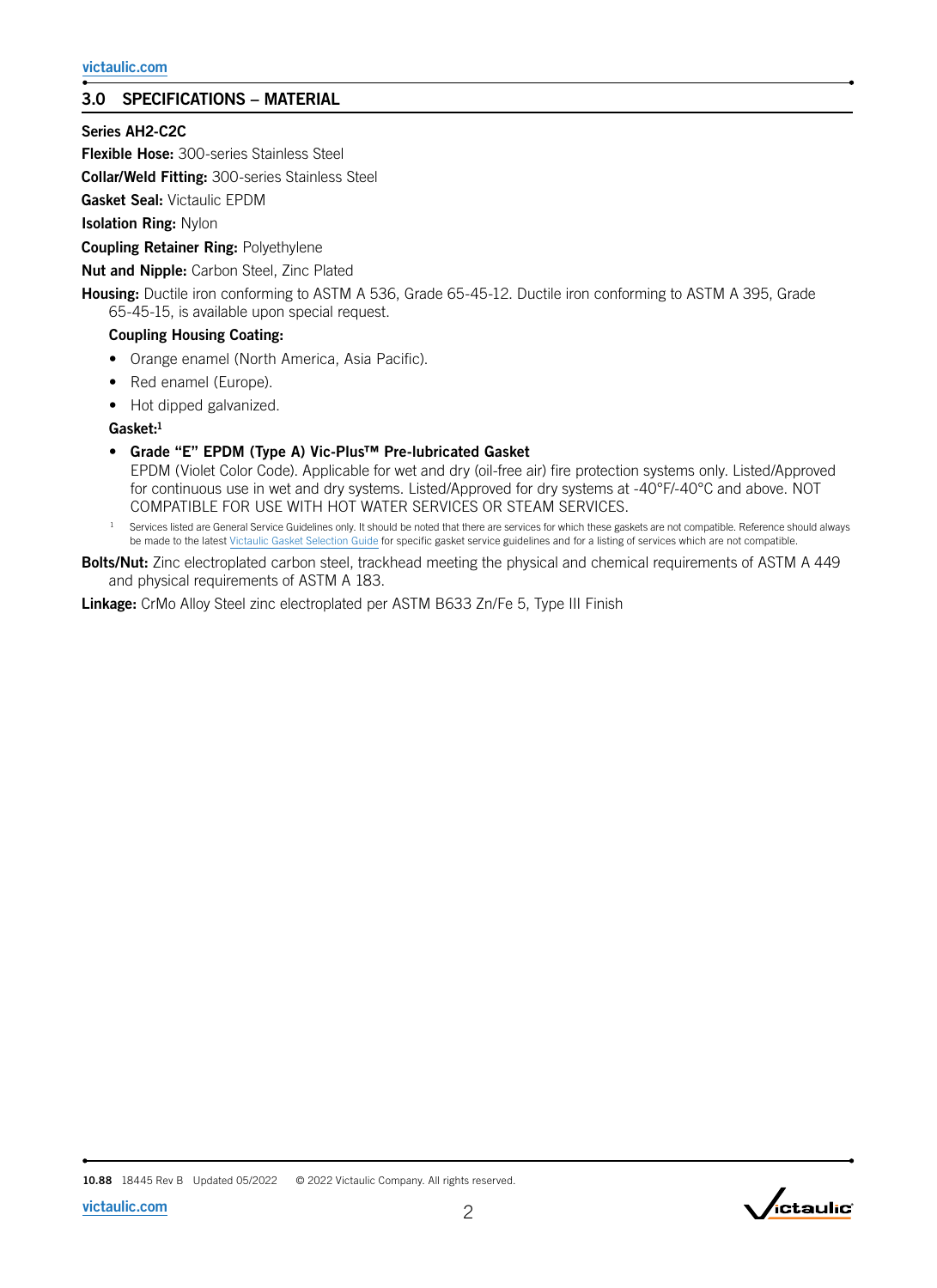# 3.0 SPECIFICATIONS – MATERIAL

# Series AH2-C2C

**Flexible Hose:** 300-series Stainless Steel

Collar/Weld Fitting: 300-series Stainless Steel

Gasket Seal: Victaulic EPDM

Isolation Ring: Nylon

**Coupling Retainer Ring: Polyethylene** 

Nut and Nipple: Carbon Steel, Zinc Plated

Housing: Ductile iron conforming to ASTM A 536, Grade 65-45-12. Ductile iron conforming to ASTM A 395, Grade 65-45-15, is available upon special request.

### Coupling Housing Coating:

- Orange enamel (North America, Asia Pacific).
- Red enamel (Europe).
- Hot dipped galvanized.

Gasket:<sup>1</sup>

- Grade "E" EPDM (Type A) Vic-Plus™ Pre-lubricated Gasket EPDM (Violet Color Code). Applicable for wet and dry (oil-free air) fire protection systems only. Listed/Approved for continuous use in wet and dry systems. Listed/Approved for dry systems at -40°F/-40°C and above. NOT COMPATIBLE FOR USE WITH HOT WATER SERVICES OR STEAM SERVICES.
- Services listed are General Service Guidelines only. It should be noted that there are services for which these gaskets are not compatible. Reference should always be made to the latest [Victaulic Gasket Selection Guide](http://static.victaulic.com/assets/uploads/literature/05.01.pdf) for specific gasket service guidelines and for a listing of services which are not compatible.
- Bolts/Nut: Zinc electroplated carbon steel, trackhead meeting the physical and chemical requirements of ASTM A 449 and physical requirements of ASTM A 183.

Linkage: CrMo Alloy Steel zinc electroplated per ASTM B633 Zn/Fe 5, Type III Finish

10.88 18445 Rev B Updated 05/2022 © 2022 Victaulic Company. All rights reserved.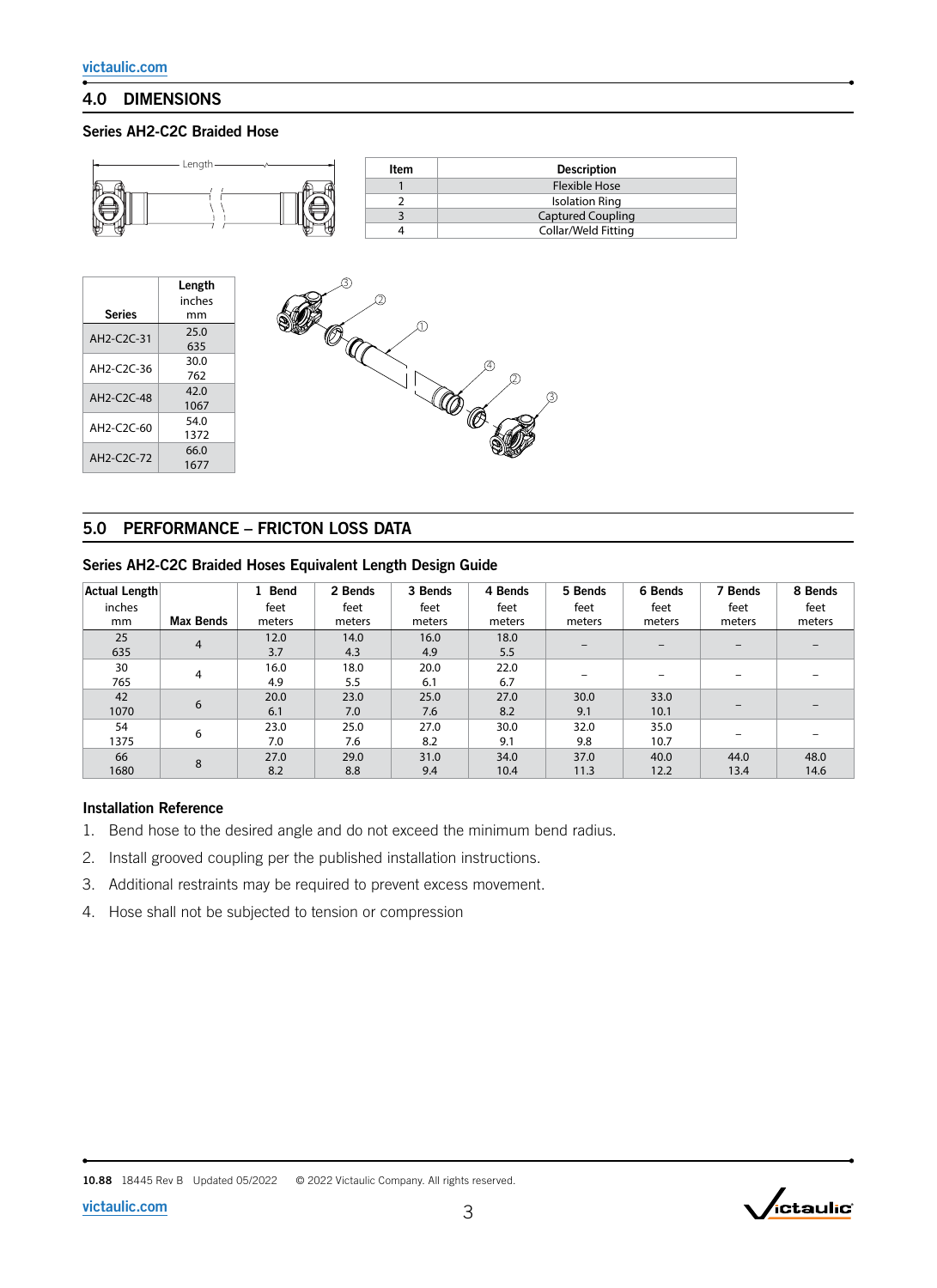# 4.0 DIMENSIONS

### Series AH2-C2C Braided Hose



# 5.0 PERFORMANCE – FRICTON LOSS DATA

1677

### Series AH2-C2C Braided Hoses Equivalent Length Design Guide

| Actual Length |                  | 1 Bend | 2 Bends | 3 Bends | 4 Bends | 5 Bends | 6 Bends | 7 Bends                  | 8 Bends |
|---------------|------------------|--------|---------|---------|---------|---------|---------|--------------------------|---------|
| inches        |                  | feet   | feet    | feet    | feet    | feet    | feet    | feet                     | feet    |
| mm            | <b>Max Bends</b> | meters | meters  | meters  | meters  | meters  | meters  | meters                   | meters  |
| 25            | 4                | 12.0   | 14.0    | 16.0    | 18.0    |         |         | $\overline{\phantom{0}}$ |         |
| 635           |                  | 3.7    | 4.3     | 4.9     | 5.5     |         |         |                          |         |
| 30            | 4                | 16.0   | 18.0    | 20.0    | 22.0    |         |         |                          |         |
| 765           |                  | 4.9    | 5.5     | 6.1     | 6.7     |         |         |                          |         |
| 42            | 6                | 20.0   | 23.0    | 25.0    | 27.0    | 30.0    | 33.0    |                          |         |
| 1070          |                  | 6.1    | 7.0     | 7.6     | 8.2     | 9.1     | 10.1    |                          |         |
| 54            | 6                | 23.0   | 25.0    | 27.0    | 30.0    | 32.0    | 35.0    |                          |         |
| 1375          |                  | 7.0    | 7.6     | 8.2     | 9.1     | 9.8     | 10.7    |                          |         |
| 66            | 8                | 27.0   | 29.0    | 31.0    | 34.0    | 37.0    | 40.0    | 44.0                     | 48.0    |
| 1680          |                  | 8.2    | 8.8     | 9.4     | 10.4    | 11.3    | 12.2    | 13.4                     | 14.6    |

#### Installation Reference

- 1. Bend hose to the desired angle and do not exceed the minimum bend radius.
- 2. Install grooved coupling per the published installation instructions.
- 3. Additional restraints may be required to prevent excess movement.
- 4. Hose shall not be subjected to tension or compression

10.88 18445 Rev B Updated 05/2022 © 2022 Victaulic Company. All rights reserved.